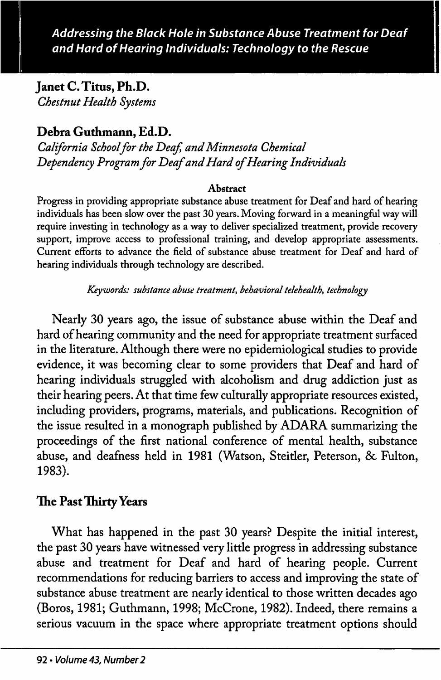Janet C. Titus, Ph.D. Chestnut Health Systems

# Debra Guthmann, Ed.D.

California School for the Deaf, and Minnesota Chemical Dependency Program for Deaf and Hard of Hearing Individuals

#### Abstract

Progress in providing appropriate substance abuse treatment for Deaf and hard of hearing individuals has been slow over the past 30 years. Moving forward in a meaningful way will require investing in technology as a way to deliver specialized treatment, provide recovery support, improve access to professional training, and develop appropriate assessments. Current efforts to advance the field of substance abuse treatment for Deaf and hard of hearing individuals through technology are described.

Keywords: substance abuse treatment, behavioral telehealth, technology

Nearly 30 years ago, the issue of substance abuse within the Deaf and hard of hearing community and the need for appropriate treatment surfaced in the literature. Although there were no epidemiological studies to provide evidence, it was becoming clear to some providers that Deaf and hard of hearing individuals struggled with alcoholism and drug addiction just as their hearing peers. At that time few culturally appropriate resources existed, including providers, programs, materials, and publications. Recognition of the issue resulted in a monograph published by ADARA summarizing the proceedings of the first national conference of mental health, substance abuse, and deafness held in 1981 (Watson, Steitler, Peterson, & Fulton, 1983).

## The Past Thirty Years

What has happened in the past 30 years? Despite the initial interest, the past 30 years have witnessed very little progress in addressing substance abuse and treatment for Deaf and hard of hearing people. Current recommendations for reducing barriers to access and improving the state of substance abuse treatment are nearly identical to those written decades ago (Boros, 1981; Guthmann, 1998; McCrone, 1982). Indeed, there remains a serious vacuum in the space where appropriate treatment options should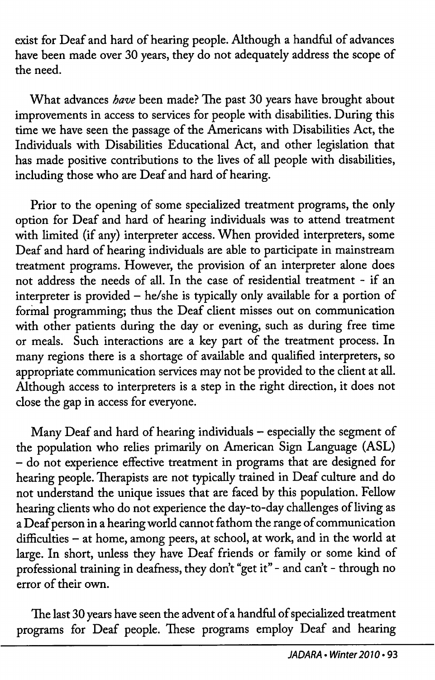exist for Deaf and hard of hearing people. Although a handful of advances have been made over 30 years, they do not adequately address the scope of the need.

What advances have been made? The past 30 years have brought about improvements in access to services for people with disabilities. During this time we have seen the passage of the Americans with Disabilities Act, the Individuals with Disabilities Educational Act, and other legislation that has made positive contributions to the lives of all people with disabilities, including those who are Deaf and hard of hearing.

Prior to the opening of some specialized treatment programs, the only option for Deaf and hard of hearing individuals was to attend treatment with limited (if any) interpreter access. When provided interpreters, some Deaf and hard of hearing individuals are able to participate in mainstream treatment programs. However, the provision of an interpreter alone does not address the needs of all. In the case of residential treatment - if an interpreter is provided — he/she is typically only available for a portion of formal programming; thus the Deaf client misses out on communication with other patients during the day or evening, such as during free time or meals. Such interactions are a key part of the treatment process. In many regions there is a shortage of available and qualified interpreters, so appropriate communication services may not be provided to the client at all. Although access to interpreters is a step in the right direction, it does not close the gap in access for everyone.

Many Deaf and hard of hearing individuals - especially the segment of the population who relies primarily on American Sign Language (ASL) - do not experience effective treatment in programs that are designed for hearing people. Therapists are not typically trained in Deaf culture and do not understand the unique issues that are faced by this population. Fellow hearing clients who do not experience the day-to-day challenges of living as a Deaf person in a hearing world cannot fathom the range of communication difficulties - at home, among peers, at school, at work, and in the world at large. In short, unless they have Deaf friends or family or some kind of professional training in deafness, they don't "get it" - and can't - through no error of their own.

The last 30 years have seen the advent of a handful of specialized treatment programs for Deaf people. These programs employ Deaf and hearing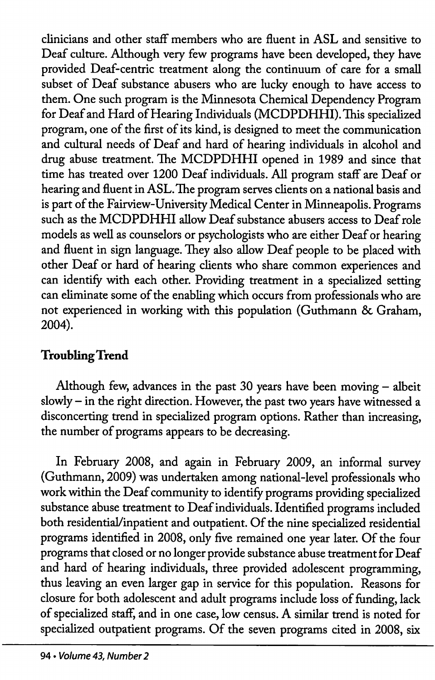clinicians and other staff members who are fluent in ASL and sensitive to Deaf culture. Although very few programs have been developed, they have provided Deaf-centric treatment along the continuum of care for a small subset of Deaf substance abusers who are lucky enough to have access to them. One such program is the Minnesota Chemical Dependency Program for Deaf and Hard of Hearing Individuals (MCDPDHHI). This specialized program, one of the first of its kind, is designed to meet the communication and cultural needs of Deaf and hard of hearing individuals in alcohol and drug abuse treatment. The MCDPDHHI opened in 1989 and since that time has treated over 1200 Deaf individuals. All program staff are Deaf or hearing and fluent in ASL. The program serves clients on a national basis and is part of the Fairview-University Medical Center in Minneapolis. Programs such as the MCDPDHHI allow Deaf substance abusers access to Deaf role models as well as counselors or psychologists who are either Deaf or hearing and fluent in sign language. They also allow Deaf people to be placed with other Deaf or hard of hearing clients who share common experiences and can identify with each other. Providing treatment in a specialized setting can eliminate some of the enabling which occurs from professionals who are not experienced in working with this population (Guthmann & Graham, 2004).

# Troubling Trend

Although few, advances in the past 30 years have been moving — albeit slowly - in the right direction. However, the past two years have witnessed a disconcerting trend in specialized program options. Rather than increasing, the number of programs appears to be decreasing.

In February 2008, and again in February 2009, an informal survey (Guthmann, 2009) was undertaken among national-level professionals who work within the Deaf community to identify programs providing specialized substance abuse treatment to Deaf individuals. Identified programs included both residential/inpatient and outpatient. Of the nine specialized residential programs identified in 2008, only five remained one year later. Of the four programs that closed or no longer provide substance abuse treatment for Deaf and hard of hearing individuals, three provided adolescent programming, thus leaving an even larger gap in service for this population. Reasons for closure for both adolescent and adult programs include loss of funding, lack of specialized staff, and in one case, low census. A similar trend is noted for specialized outpatient programs. Of the seven programs cited in 2008, six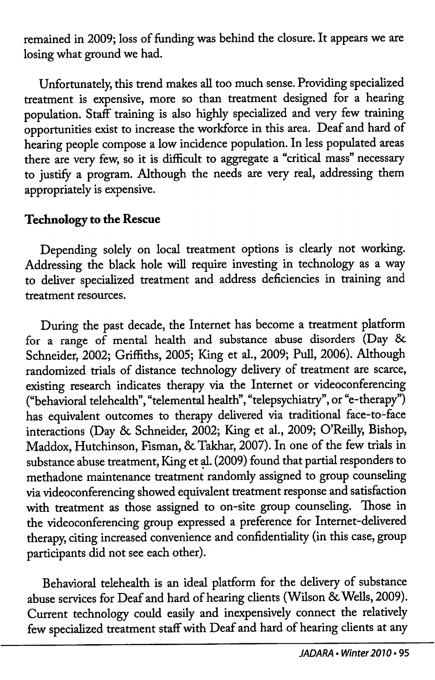remained in 2009; loss of funding was behind the closure. It appears we are losing what ground we had.

Unfortunately, this trend makes all too much sense. Providing specialized treatment is expensive, more so than treatment designed for a hearing population. Staff training is also highly specialized and very few training opportunities exist to increase the workforce in this area. Deaf and hard of hearing people compose a low incidence population. In less populated areas there are very few, so it is difficult to aggregate a "critical mass" necessary to justify a program. Although the needs are very real, addressing them appropriately is expensive.

### Technology to the Rescue

Depending solely on local treatment options is clearly not working. Addressing the black hole wiU require investing in technology as a way to deliver specialized treatment and address deficiencies in training and treatment resources.

During the past decade, the Internet has become a treatment platform for a range of mental health and substance abuse disorders (Day & Schneider, 2002; Griffiths, 2005; King et al., 2009; Pull, 2006). Although randomized trials of distance technology delivery of treatment are scarce, existing research indicates therapy via the Internet or videoconferencing ("behavioral telehealth", "telemental health", "telepsychiatry", or "e-therapy") has equivalent outcomes to therapy delivered via traditional face-to-face interactions (Day 8c Schneider, 2002; King et al., 2009; O'Reilly, Bishop, Maddox, Hutchinson, Fisman, & Takhar, 2007). In one of the few trials in substance abuse treatment. King et d. (2009) found that partial responders to methadone maintenance treatment randomly assigned to group counseling via videoconferencing showed equivalent treatment response and satisfaction with treatment as those assigned to on-site group counseling. Those in the videoconferencing group expressed a preference for Internet-delivered therapy, citing increased convenience and confidentiality (in this case, group participants did not see each other).

Behaworal telehealth is an ideal platform for the delivery of substance abuse services for Deaf and hard of hearing clients (Wilson & Wells, 2009). Current technology could easily and inexpensively connect the relatively few specialized treatment staff with Deaf and hard of hearing clients at any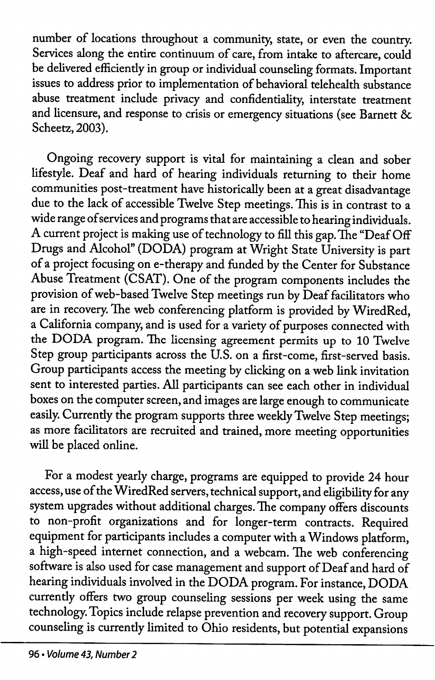number of locations throughout a community, state, or even the country. Services along the entire continuum of care, from intake to aftercare, could be delivered efficiendy in group or individual counseling formats. Important issues to address prior to implementation of behavioral telehealth substance abuse treatment include privacy and confidentiality, interstate treatment and licensure, and response to crisis or emergency situations (see Barnett & Scheetz, 2003).

Ongoing recovery support is vital for maintaining a clean and sober lifestyle. Deaf and hard of hearing individuals returning to their home communities post-treatment have historically been at a great disadvantage due to the lack of accessible Twelve Step meetings. This is in contrast to a wide range ofservices and programs that are accessible to hearing individuals. A current project is making use of technology to fill this gap. The "Deaf Off Drugs and Alcohol" (DODA) program at Wright State University is part of a project focusing on e-therapy and funded by the Center for Substance Abuse Treatment (CSAT). One of the program components includes the provision of web-based Twelve Step meetings run by Deaf facilitators who are in recovery. The web conferencing platform is provided by WiredRed, a California company, and is used for a variety of purposes connected with the DODA program. The licensing agreement permits up to 10 Twelve Step group participants across the U.S. on a first-come, first-served basis. Group participants access the meeting by clicking on a web link invitation sent to interested parties. All participants can see each other in individual boxes on the computer screen, and images are large enough to communicate easily. Currently the program supports three weekly Twelve Step meetings; as more facilitators are recruited and trained, more meeting opportunities will be placed online.

For a modest yearly charge, programs are equipped to provide 24 hour access, use of the WiredRed servers, technical support, and eligibility for any system upgrades without additional charges. The company offers discounts to non-profit organizations and for longer-term contracts. Required equipment for participants includes a computer with a Windows platform, a high-speed internet connection, and a webcam. The web conferencing software is also used for case management and support of Deaf and hard of hearing individuals involved in the DODA program. For instance, DODA currentiy offers two group counseling sessions per week using the same technology. Topics include relapse prevention and recovery support. Group counseling is currendy limited to Ohio residents, but potential expansions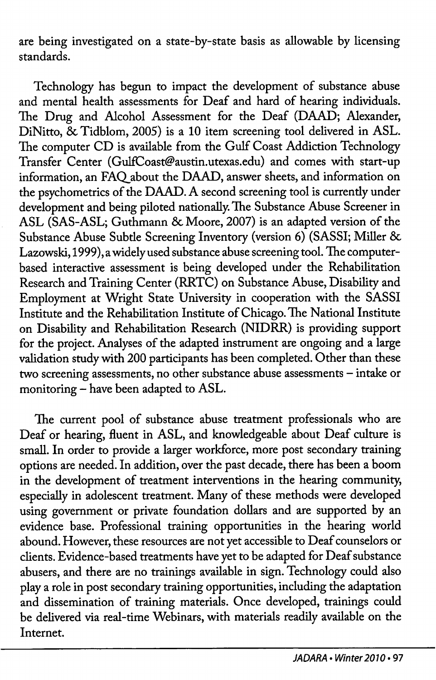are being investigated on a state-by-state basis as allowable by licensing standards.

Technology has begun to impact the development of substance abuse and mental health assessments for Deaf and hard of hearing individuals. The Drug and Alcohol Assessment for the Deaf (DAAD; Alexander, DiNitto, & Tidblom, 2005) is a 10 item screening tool delivered in ASL. The computer CD is available from the Gulf Coast Addiction Technology Transfer Center (GulfCoast@austin.utexas.edu) and comes with start-up information, an FAQ about the DAAD, answer sheets, and information on the psychometrics of the DAAD. A second screening tool is currently under development and being piloted nationally. The Substance Abuse Screener in ASL (SAS-ASL; Guthmann & Moore, 2007) is an adapted version of the Substance Abuse Subtle Screening Inventory (version 6) (SASSI; Miller & Lazowski, 1999), a widely used substance abuse screening tool. The computerbased interactive assessment is being developed under the Rehabilitation Research and Training Center (RRTC) on Substance Abuse, Disability and Employment at Wright State University in cooperation with the SASSI Institute and the Rehabilitation Institute of Chicago. The National Institute on Disability and Rehabilitation Research (NIDRR) is providing support for the project. Analyses of the adapted instrument are ongoing and a large validation study with 200 participants has been completed. Other than these two screening assessments, no other substance abuse assessments — intake or monitoring - have been adapted to ASL.

The current pool of substance abuse treatment professionals who are Deaf or hearing, fluent in ASL, and knowledgeable about Deaf culture is small. In order to provide a larger workforce, more post secondary training options are needed. In addition, over the past decade, there has been a boom in the development of treatment interventions in the hearing community, especially in adolescent treatment. Many of these methods were developed using government or private foundation dollars and are supported by an evidence base. Professional training opportunities in the hearing world abound. However, these resources are not yet accessible to Deaf counselors or clients. Evidence-based treatments have yet to be adapted for Deaf substance abusers, and there are no trainings available in sign. Technology could also play a role in post secondary training opportunities, including the adaptation and dissemination of training materials. Once developed, trainings could be delivered via real-time Webinars, with materials readily available on the Internet.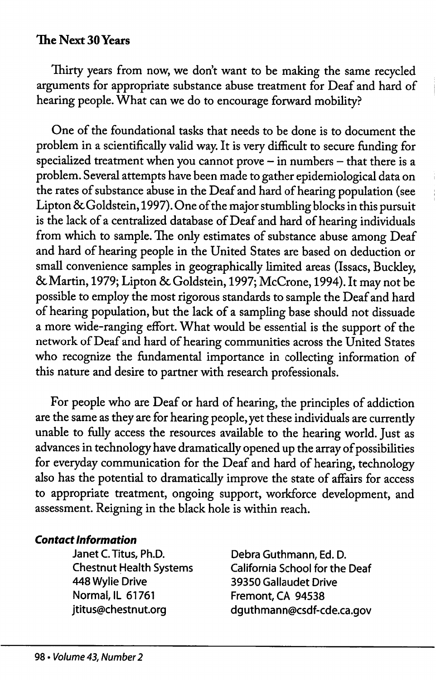## The Next 30 Years

Thirty years from now, we don't want to be making the same recycled arguments for appropriate substance abuse treatment for Deaf and bard of hearing people. What can we do to encourage forward mobility?

One of the foundational tasks that needs to be done is to document the problem in a scientifically valid way. It is very difficult to secure funding for specialized treatment when you cannot prove - in numbers - that there is a problem. Several attempts have been made to gather epidemiological data on the rates of substance abuse in the Deaf and hard of hearing population (see Lipton & Goldstein, 1997). One of the major stumbling blocks in this pursuit is the lack of a centralized database of Deaf and hard of hearing individuals from which to sample. The only estimates of substance abuse among Deaf and bard of bearing people in the United States are based on deduction or small convenience samples in geographically limited areas (Issacs, Buckley, 6cMartin, 1979; Lipton 6c Goldstein, 1997; McCrone, 1994). It may not be possible to employ the most rigorous standards to sample the Deaf and bard of hearing population, but the lack of a sampling base should not dissuade a more wide-ranging effort. What would be essential is the support of the network of Deaf and bard of bearing communities across the United States who recognize the fundamental importance in collecting information of this nature and desire to partner with research professionals.

For people who are Deaf or bard of bearing, the principles of addiction are the same as they are for bearing people, yet these individuals are currentiy unable to fially access the resources available to the bearing world. Just as advances in technology have dramatically opened up the array of possibilities for everyday communication for the Deaf and bard of bearing, technology also has the potential to dramatically improve the state of affairs for access to appropriate treatment, ongoing support, workforce development, and assessment. Reigning in the black bole is within reach.

### Contact Information

Janet C. Titus, Ph.D. Debra Guthmann, Ed. D. 448 Wylie Drive 39350 Gallaudet Drive Normal, IL 61761 Fremont, CA 94538

Chestnut Health Systems California School for the Deaf jtitus@chestnut.org dguthmann@csdf-cde.ca.gov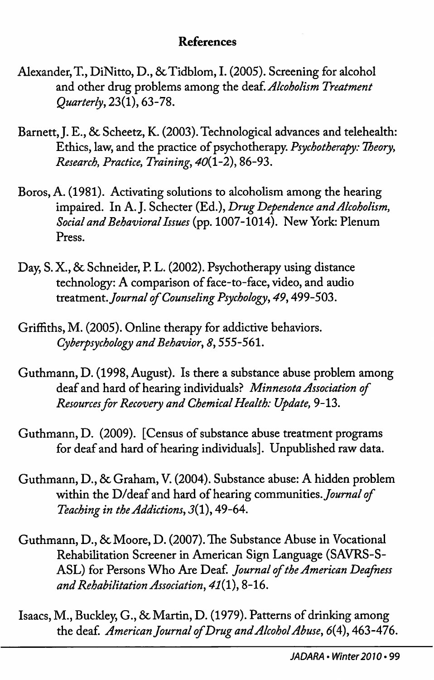## References

- Alexander, T., DiNitto, D., & Tidblom, I. (2005). Screening for alcohol and other drug problems among the deaf. Alcoholism Treatment Quarterly^ 23(1), 63-78.
- Barnett, J. E., 8c Scheetz, K. (2003). Technological advances and telehealth: Ethics, law, and the practice of psychotherapy. Psychotherapy: Theory, Research, Practice, Training, 40(1-2), 86-93.
- Boros, A. (1981). Activating solutions to alcoholism among the hearing impaired. In A.J. Schecter (Ed.), Drug Dependence and Alcoholism, Social and Behavioral Issues (pp. 1007-1014). New York: Plenum Press.
- Day, S. X., 8c Schneider, P. L. (2002). Psychotherapy using distance technology: A comparison of face-to-face, video, and audio treatment. Journal of Counseling Psychology, 49, 499-503.
- Griffiths, M. (2005). Online therapy for addictive behaviors. Cyberpsychology and Behavior, 8,555-561.
- Guthmann, D. (1998, August). Is there a substance abuse problem among deaf and hard of hearing individuals? Minnesota Association of Resources for Recovery and Chemical Health: Update, 9-13.
- Guthmann, D, (2009). [Census of substance abuse treatment programs for deaf and hard of hearing individuals]. Unpublished raw data.
- Guthmann, D., 8c Graham, V. (2004). Substance abuse: A hidden problem within the D/deaf and hard of hearing communities. Journal of Teaching in the Addictions, J(l), 49-64.
- Guthmann, D., 8c Moore, D. (2007). The Substance Abuse in Vocational Rehabilitation Screener in American Sign Language (SAVRS-S-ASL) for Persons Who Are Deaf. Journal of the American Deafness and Rehabilitation Association, 47(1), 8-16.
- Isaacs, M., Buckley, G., 8c Martin, D. (1979). Patterns of drinking among the deaf. American Journal of Drug and Alcohol Abuse, 6(4), 463-476.